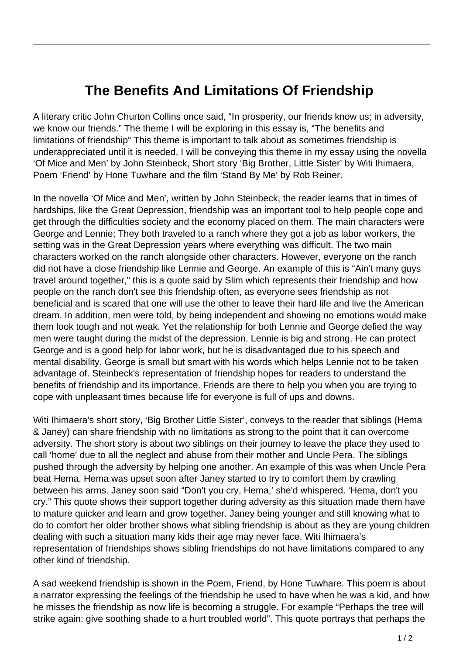## **The Benefits And Limitations Of Friendship**

A literary critic John Churton Collins once said, "In prosperity, our friends know us; in adversity, we know our friends." The theme I will be exploring in this essay is, "The benefits and limitations of friendship" This theme is important to talk about as sometimes friendship is underappreciated until it is needed, I will be conveying this theme in my essay using the novella 'Of Mice and Men' by John Steinbeck, Short story 'Big Brother, Little Sister' by Witi Ihimaera, Poem 'Friend' by Hone Tuwhare and the film 'Stand By Me' by Rob Reiner.

In the novella 'Of Mice and Men', written by John Steinbeck, the reader learns that in times of hardships, like the Great Depression, friendship was an important tool to help people cope and get through the difficulties society and the economy placed on them. The main characters were George and Lennie; They both traveled to a ranch where they got a job as labor workers, the setting was in the Great Depression years where everything was difficult. The two main characters worked on the ranch alongside other characters. However, everyone on the ranch did not have a close friendship like Lennie and George. An example of this is "Ain't many guys travel around together," this is a quote said by Slim which represents their friendship and how people on the ranch don't see this friendship often, as everyone sees friendship as not beneficial and is scared that one will use the other to leave their hard life and live the American dream. In addition, men were told, by being independent and showing no emotions would make them look tough and not weak. Yet the relationship for both Lennie and George defied the way men were taught during the midst of the depression. Lennie is big and strong. He can protect George and is a good help for labor work, but he is disadvantaged due to his speech and mental disability. George is small but smart with his words which helps Lennie not to be taken advantage of. Steinbeck's representation of friendship hopes for readers to understand the benefits of friendship and its importance. Friends are there to help you when you are trying to cope with unpleasant times because life for everyone is full of ups and downs.

Witi Ihimaera's short story, 'Big Brother Little Sister', conveys to the reader that siblings (Hema & Janey) can share friendship with no limitations as strong to the point that it can overcome adversity. The short story is about two siblings on their journey to leave the place they used to call 'home' due to all the neglect and abuse from their mother and Uncle Pera. The siblings pushed through the adversity by helping one another. An example of this was when Uncle Pera beat Hema. Hema was upset soon after Janey started to try to comfort them by crawling between his arms. Janey soon said "Don't you cry, Hema,' she'd whispered. 'Hema, don't you cry." This quote shows their support together during adversity as this situation made them have to mature quicker and learn and grow together. Janey being younger and still knowing what to do to comfort her older brother shows what sibling friendship is about as they are young children dealing with such a situation many kids their age may never face. Witi Ihimaera's representation of friendships shows sibling friendships do not have limitations compared to any other kind of friendship.

A sad weekend friendship is shown in the Poem, Friend, by Hone Tuwhare. This poem is about a narrator expressing the feelings of the friendship he used to have when he was a kid, and how he misses the friendship as now life is becoming a struggle. For example "Perhaps the tree will strike again: give soothing shade to a hurt troubled world". This quote portrays that perhaps the